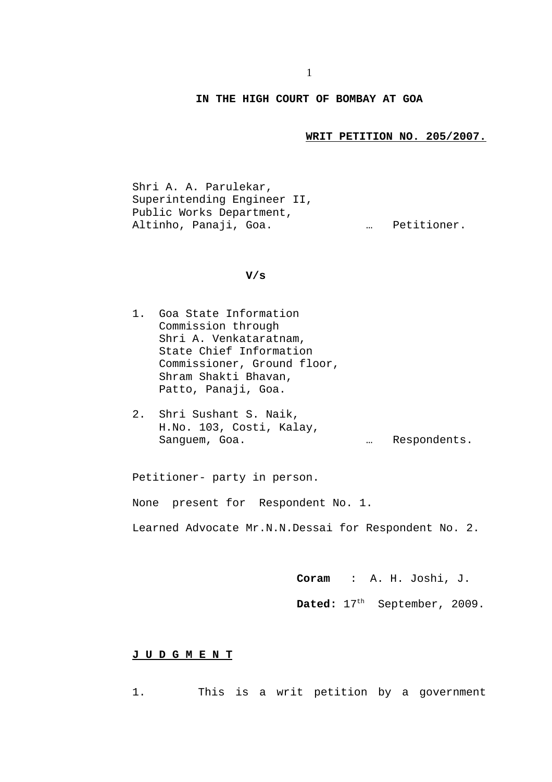## **IN THE HIGH COURT OF BOMBAY AT GOA**

**WRIT PETITION NO. 205/2007.**

Shri A. A. Parulekar, Superintending Engineer II, Public Works Department, Altinho, Panaji, Goa. … Petitioner.

## **V/s**

- 1. Goa State Information Commission through Shri A. Venkataratnam, State Chief Information Commissioner, Ground floor, Shram Shakti Bhavan, Patto, Panaji, Goa.
- 2. Shri Sushant S. Naik, H.No. 103, Costi, Kalay, Sanguem, Goa. … Respondents.

Petitioner- party in person.

None present for Respondent No. 1.

Learned Advocate Mr.N.N.Dessai for Respondent No. 2.

**Coram** : A. H. Joshi, J.

Dated: 17<sup>th</sup> September, 2009.

## **J U D G M E N T**

1. This is a writ petition by a government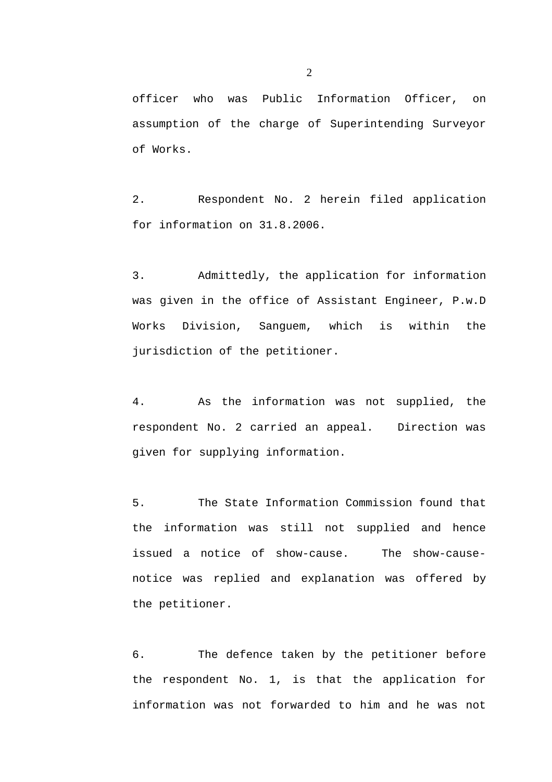officer who was Public Information Officer, on assumption of the charge of Superintending Surveyor of Works.

2. Respondent No. 2 herein filed application for information on 31.8.2006.

3. Admittedly, the application for information was given in the office of Assistant Engineer, P.w.D Works Division, Sanguem, which is within the jurisdiction of the petitioner.

4. As the information was not supplied, the respondent No. 2 carried an appeal. Direction was given for supplying information.

5. The State Information Commission found that the information was still not supplied and hence issued a notice of show-cause. The show-causenotice was replied and explanation was offered by the petitioner.

6. The defence taken by the petitioner before the respondent No. 1, is that the application for information was not forwarded to him and he was not

2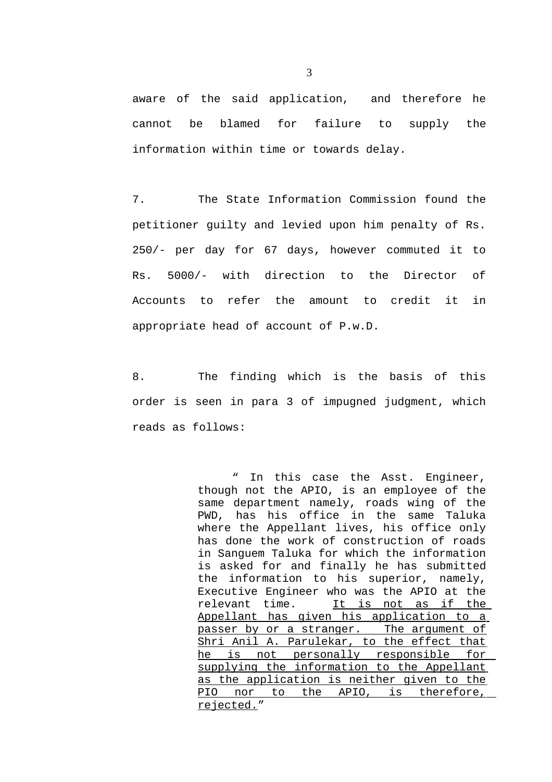aware of the said application, and therefore he cannot be blamed for failure to supply the information within time or towards delay.

7. The State Information Commission found the petitioner guilty and levied upon him penalty of Rs. 250/- per day for 67 days, however commuted it to Rs. 5000/- with direction to the Director of Accounts to refer the amount to credit it in appropriate head of account of P.w.D.

8. The finding which is the basis of this order is seen in para 3 of impugned judgment, which reads as follows:

> " In this case the Asst. Engineer, though not the APIO, is an employee of the same department namely, roads wing of the PWD, has his office in the same Taluka where the Appellant lives, his office only has done the work of construction of roads in Sanguem Taluka for which the information is asked for and finally he has submitted the information to his superior, namely, Executive Engineer who was the APIO at the relevant time. It is not as if the Appellant has given his application to a passer by or a stranger. The argument of Shri Anil A. Parulekar, to the effect that he is not personally responsible for supplying the information to the Appellant as the application is neither given to the PIO nor to the APIO, is therefore, rejected."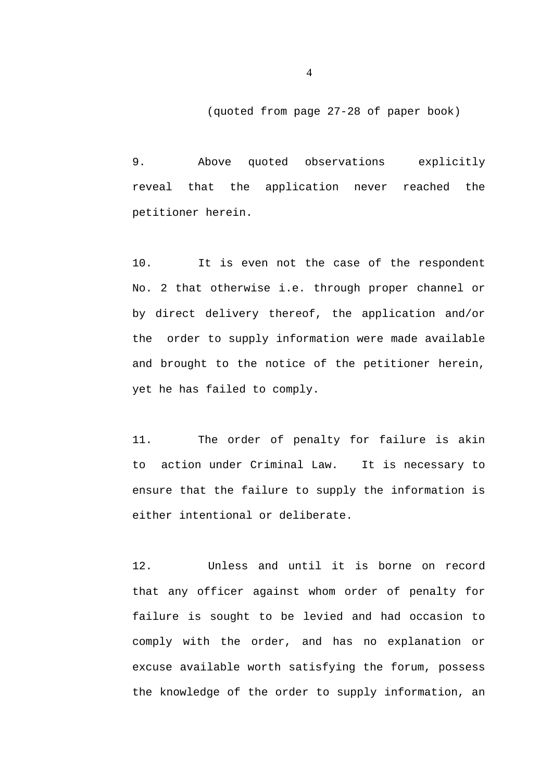(quoted from page 27-28 of paper book)

9. Above quoted observations explicitly reveal that the application never reached the petitioner herein.

10. It is even not the case of the respondent No. 2 that otherwise i.e. through proper channel or by direct delivery thereof, the application and/or the order to supply information were made available and brought to the notice of the petitioner herein, yet he has failed to comply.

11. The order of penalty for failure is akin to action under Criminal Law. It is necessary to ensure that the failure to supply the information is either intentional or deliberate.

12. Unless and until it is borne on record that any officer against whom order of penalty for failure is sought to be levied and had occasion to comply with the order, and has no explanation or excuse available worth satisfying the forum, possess the knowledge of the order to supply information, an